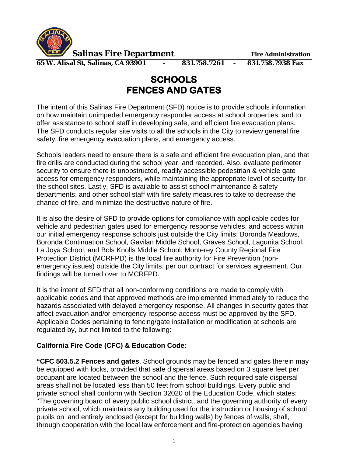

**Salinas Fire Department** Fire Administration

**65 W. Alisal St, Salinas, CA 93901 - 831.758.7261 - 831.758.7938 Fax**

## **SCHOOLS FENCES AND GATES**

The intent of this Salinas Fire Department (SFD) notice is to provide schools information on how maintain unimpeded emergency responder access at school properties, and to offer assistance to school staff in developing safe, and efficient fire evacuation plans. The SFD conducts regular site visits to all the schools in the City to review general fire safety, fire emergency evacuation plans, and emergency access.

Schools leaders need to ensure there is a safe and efficient fire evacuation plan, and that fire drills are conducted during the school year, and recorded. Also, evaluate perimeter security to ensure there is unobstructed, readily accessible pedestrian & vehicle gate access for emergency responders, while maintaining the appropriate level of security for the school sites. Lastly, SFD is available to assist school maintenance & safety departments, and other school staff with fire safety measures to take to decrease the chance of fire, and minimize the destructive nature of fire.

It is also the desire of SFD to provide options for compliance with applicable codes for vehicle and pedestrian gates used for emergency response vehicles, and access within our initial emergency response schools just outside the City limits: Boronda Meadows, Boronda Continuation School, Gavilan Middle School, Graves School, Lagunita School, La Joya School, and Bols Knolls Middle School. Monterey County Regional Fire Protection District (MCRFPD) is the local fire authority for Fire Prevention (nonemergency issues) outside the City limits, per our contract for services agreement. Our findings will be turned over to MCRFPD.

It is the intent of SFD that all non-conforming conditions are made to comply with applicable codes and that approved methods are implemented immediately to reduce the hazards associated with delayed emergency response. All changes in security gates that affect evacuation and/or emergency response access must be approved by the SFD. Applicable Codes pertaining to fencing/gate installation or modification at schools are regulated by, but not limited to the following:

## **California Fire Code (CFC) & Education Code:**

**"CFC 503.5.2 Fences and gates**. School grounds may be fenced and gates therein may be equipped with locks, provided that safe dispersal areas based on 3 square feet per occupant are located between the school and the fence. Such required safe dispersal areas shall not be located less than 50 feet from school buildings. Every public and private school shall conform with Section 32020 of the Education Code, which states: "The governing board of every public school district, and the governing authority of every private school, which maintains any building used for the instruction or housing of school pupils on land entirely enclosed (except for building walls) by fences of walls, shall, through cooperation with the local law enforcement and fire-protection agencies having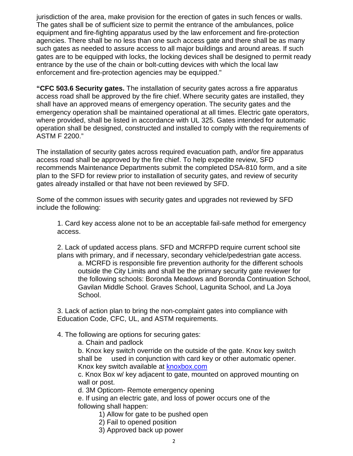jurisdiction of the area, make provision for the erection of gates in such fences or walls. The gates shall be of sufficient size to permit the entrance of the ambulances, police equipment and fire-fighting apparatus used by the law enforcement and fire-protection agencies. There shall be no less than one such access gate and there shall be as many such gates as needed to assure access to all major buildings and around areas. If such gates are to be equipped with locks, the locking devices shall be designed to permit ready entrance by the use of the chain or bolt-cutting devices with which the local law enforcement and fire-protection agencies may be equipped."

**"CFC 503.6 Security gates.** The installation of security gates across a fire apparatus access road shall be approved by the fire chief. Where security gates are installed, they shall have an approved means of emergency operation. The security gates and the emergency operation shall be maintained operational at all times. Electric gate operators, where provided, shall be listed in accordance with UL 325. Gates intended for automatic operation shall be designed, constructed and installed to comply with the requirements of ASTM F 2200."

The installation of security gates across required evacuation path, and/or fire apparatus access road shall be approved by the fire chief. To help expedite review, SFD recommends Maintenance Departments submit the completed DSA-810 form, and a site plan to the SFD for review prior to installation of security gates, and review of security gates already installed or that have not been reviewed by SFD.

Some of the common issues with security gates and upgrades not reviewed by SFD include the following:

1. Card key access alone not to be an acceptable fail-safe method for emergency access.

2. Lack of updated access plans. SFD and MCRFPD require current school site plans with primary, and if necessary, secondary vehicle/pedestrian gate access.

a. MCRFD is responsible fire prevention authority for the different schools outside the City Limits and shall be the primary security gate reviewer for the following schools: Boronda Meadows and Boronda Continuation School, Gavilan Middle School. Graves School, Lagunita School, and La Joya School.

3. Lack of action plan to bring the non-complaint gates into compliance with Education Code, CFC, UL, and ASTM requirements.

- 4. The following are options for securing gates:
	- a. Chain and padlock

b. Knox key switch override on the outside of the gate. Knox key switch shall be used in conjunction with card key or other automatic opener. Knox key switch available at **knoxbox.com** 

c. Knox Box w/ key adjacent to gate, mounted on approved mounting on wall or post.

d. 3M Opticom- Remote emergency opening

e. If using an electric gate, and loss of power occurs one of the following shall happen:

- 1) Allow for gate to be pushed open
- 2) Fail to opened position
- 3) Approved back up power